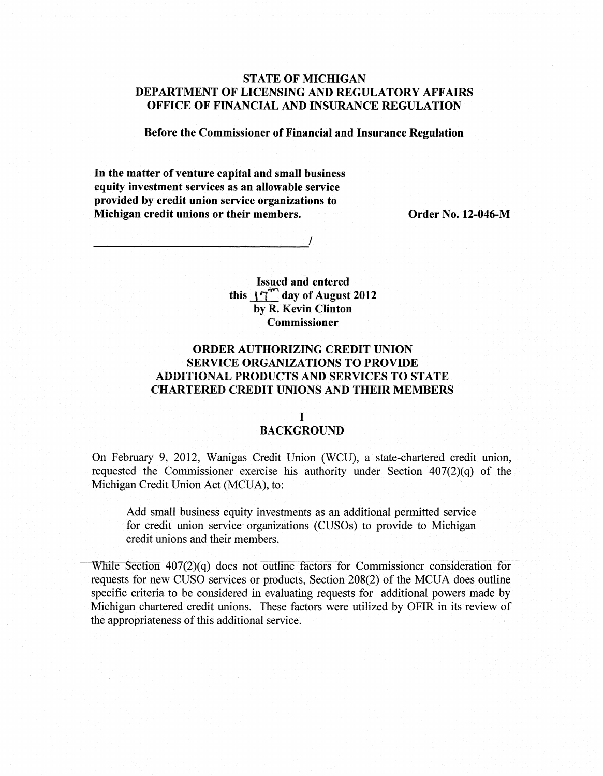### **STATE OF MICHIGAN DEPARTMENT OF LICENSING AND REGULATORY AFFAIRS OFFICE OF FINANCIAL AND INSURANCE REGULATION**

**Before the Commissioner of Financial and Insurance Regulation** 

In **the matter of venture capital and small business equity investment services as an allowable service provided by credit union service organizations to Michigan credit unions or their members.** Order No. 12-046-M

 $\frac{1}{2}$  , where  $\frac{1}{2}$  , where  $\frac{1}{2}$  , where  $\frac{1}{2}$ 

**Issued and entered this J...1'.:: day of August 2012 by R. Kevin Clinton Commissioner** 

## **ORDER AUTHORIZING CREDIT UNION SERVICE ORGANIZATIONS TO PROVIDE ADDITIONAL PRODUCTS AND SERVICES TO STATE CHARTERED CREDIT UNIONS AND THEIR MEMBERS**

# I

#### **BACKGROUND**

On February 9, 2012, Wanigas Credit Union (WCU), a state-chartered credit union, requested the Commissioner exercise his authority under Section 407(2)(q) of the Michigan Credit Union Act (MCUA), to:

Add small business equity investments as an additional permitted service for credit union service organizations (CUSOs) to provide to Michigan credit unions and their members.

While Section  $407(2)(q)$  does not outline factors for Commissioner consideration for requests for new CUSO services or products, Section 208(2) of the MCUA does outline specific criteria to be considered in evaluating requests for additional powers made by Michigan chartered credit unions. These factors were utilized by OFIR in its review of the appropriateness of this additional service.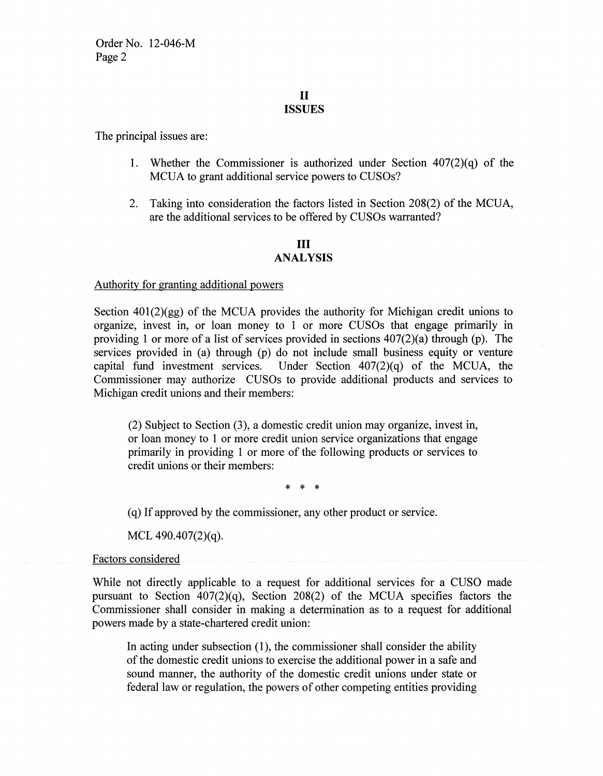Order No. 12-046-M Page 2

#### II **ISSUES**

The principal issues are:

- 1. Whether the Commissioner is authorized under Section 407(2)(q) of the MCUA to grant additional service powers to CUSOs?
- 2. Taking into consideration the factors listed in Section 208(2) of the MCUA, are the additional services to be offered by CUSOs warranted?

#### **III ANALYSIS**

#### Authority for granting additional powers

Section  $401(2)(gg)$  of the MCUA provides the authority for Michigan credit unions to organize, invest in, or loan money to 1 or more CUSOs that engage primarily in providing 1 or more of a list of services provided in sections 407(2)(a) through (p). The services provided in (a) through (p) do not include small business equity or venture capital fund investment services. Under Section  $407(2)(q)$  of the MCUA, the Commissioner may authorize CUSOs to provide additional products and services to Michigan credit unions and their members:

(2) Subject to Section (3), a domestic credit union may organize, invest in, or loan money to 1 or more credit union service organizations that engage primarily in providing 1 or more of the following products or services to credit unions or their members:

\* \* \*

(q) If approved by the commissioner, any other product or service.

MCL 490.407(2)(q).

#### Factors considered

While not directly applicable to a request for additional services for a CUSO made pursuant to Section 407(2)(q), Section 208(2) of the MCUA specifies factors the Commissioner shall consider in making a determination as to a request for additional powers made by a state-chartered credit union:

In acting under subsection  $(1)$ , the commissioner shall consider the ability of the domestic credit unions to exercise the additional power in a safe and sound manner, the authority of the domestic credit unions under state or federal law or regulation, the powers of other competing entities providing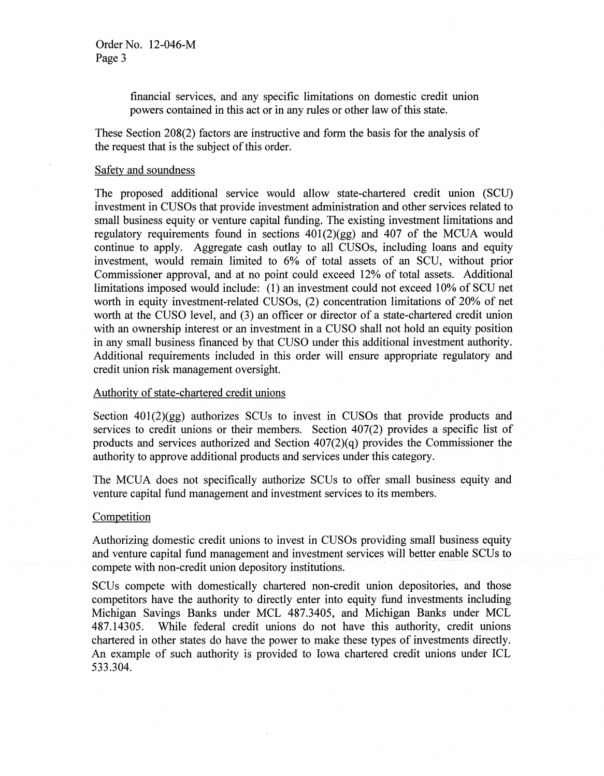### Order No. 12-046-M Page 3

financial services, and any specific limitations on domestic credit union powers contained in this act or in any rules or other law of this state.

These Section 208(2) factors are instructive and form the basis for the analysis of the request that is the subject of this order.

#### Safety and soundness

The proposed additional service would allow state-chartered credit union (SCU) investment in CUSOs that provide investment administration and other services related to small business equity or venture capital funding. The existing investment limitations and regulatory requirements found in sections  $401(2)(gg)$  and  $407$  of the MCUA would continue to apply. Aggregate cash outlay to all CUSOs, including loans and equity investment, would remain limited to 6% of total assets of an SCU, without prior Commissioner approval, and at no point could exceed 12% of total assets. Additional limitations imposed would include: (1) an investment could not exceed 10% of SCU net worth in equity investment-related CUSOs, (2) concentration limitations of 20% of net worth at the CUSO level, and (3) an officer or director of a state-chartered credit union with an ownership interest or an investment in a CUSO shall not hold an equity position in any small business financed by that CUSO under this additional investment authority. Additional requirements included in this order will ensure appropriate regulatory and credit union risk management oversight.

#### Authority of state-chartered credit unions

Section  $401(2)(gg)$  authorizes SCUs to invest in CUSOs that provide products and services to credit unions or their members. Section 407(2) provides a specific list of products and services authorized and Section 407(2)(q) provides the Commissioner the authority to approve additional products and services under this category.

The MCUA does not specifically authorize SCUs to offer small business equity and venture capital fund management and investment services to its members.

#### **Competition**

Authorizing domestic credit unions to invest in CUSOs providing small business equity and venture capital fund management and investment services will better enable SCUs to compete with non-credit union depository institutions.

SCUs compete with domestically chartered non-credit union depositories, and those competitors have the authority to directly enter into equity fund investments including Michigan Savings Banks under MCL 487.3405, and Michigan Banks under MCL 487.14305. While federal credit unions do not have this authority, credit unions chartered in other states do have the power to make these types of investments directly. An example of such authority is provided to Iowa chartered credit unions under ICL 533.304.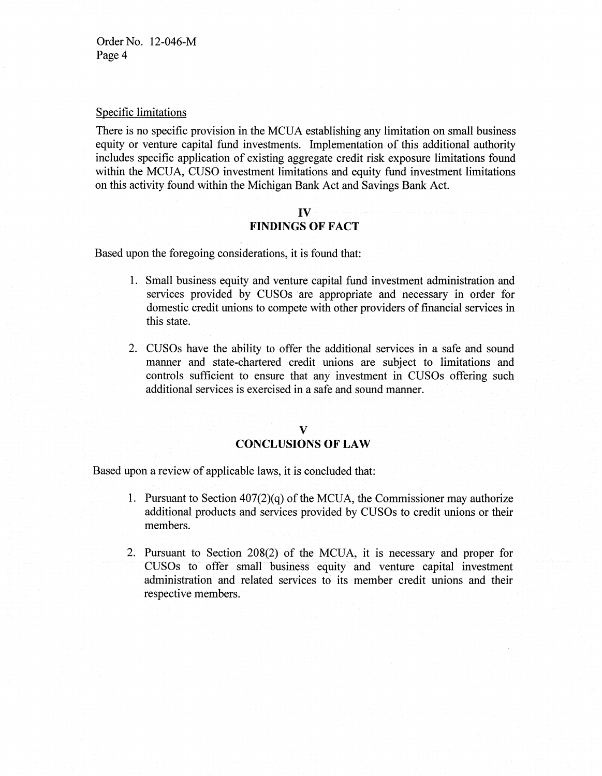#### Specific limitations

There is no specific provision in the MCUA establishing any limitation on small business equity or venture capital fund investments. Implementation of this additional authority includes specific application of existing aggregate credit risk exposure limitations found within the MCUA, CUSO investment limitations and equity fund investment limitations on this activity found within the Michigan Bank Act and Savings Bank Act.

#### **IV**

### **FINDINGS OF FACT**

Based upon the foregoing considerations, it is found that:

- **1.** Small business equity and venture capital fund investment administration and services provided by CUSOs are appropriate and necessary in order for domestic credit unions to compete with other providers of financial services in this state.
- 2. CUSOs have the ability to offer the additional services in a safe and sound manner and state-chartered credit unions are subject to limitations and controls sufficient to ensure that any investment in CUSOs offering such additional services is exercised in a safe and sound manner.

### **V CONCLUSIONS OF LAW**

Based upon a review of applicable laws, it is concluded that:

- 1. Pursuant to Section  $407(2)(q)$  of the MCUA, the Commissioner may authorize additional products and services provided by CUSOs to credit unions or their members.
- 2. Pursuant to Section 208(2) of the MCUA, it is necessary and proper for CUSOs to offer small business equity and venture capital investment administration and related services to its member credit unions and their respective members.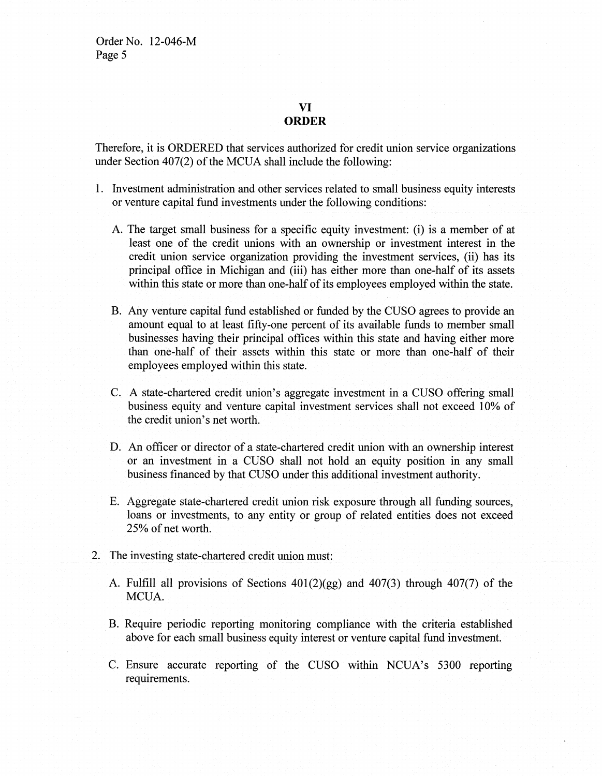### **VI ORDER**

Therefore, it is ORDERED that services authorized for credit union service organizations under Section  $407(2)$  of the MCUA shall include the following:

- 1. Investment administration and other services related to small business equity interests or venture capital fund investments under the following conditions:
	- A. The target small business for a specific equity investment: (i) is a member of at least one of the credit unions with an ownership or investment interest in the credit union service organization providing the investment services, (ii) has its principal office in Michigan and (iii) has either more than one-half of its assets within this state or more than one-half of its employees employed within the state.
	- B. Any venture capital fund established or funded by the CUSO agrees to provide an amount equal to at least fifty-one percent of its available funds to member small businesses having their principal offices within this state and having either more than one-half of their assets within this state or more than one-half of their employees employed within this state.
	- C. A state-chartered credit union's aggregate investment in a CUSO offering small business equity and venture capital investment services shall not exceed 10% of the credit union's net worth.
	- D. An officer or director of a state-chartered credit union with an ownership interest or an investment in a CUSO shall not hold an equity position in any small business financed by that CUSO under this additional investment authority.
	- E. Aggregate state-chartered credit union risk exposure through all funding sources, loans or investments, to any entity or group of related entities does not exceed 25% of net worth.
- 2. The investing state-chartered credit union must:
	- A. Fulfill all provisions of Sections 401(2)(gg) and 407(3) through 407(7) of the MCUA.
	- B. Require periodic reporting monitoring compliance with the criteria established above for each small business equity interest or venture capital fund investment.
	- C. Ensure accurate reporting of the CUSO within NCUA's 5300 reporting requirements.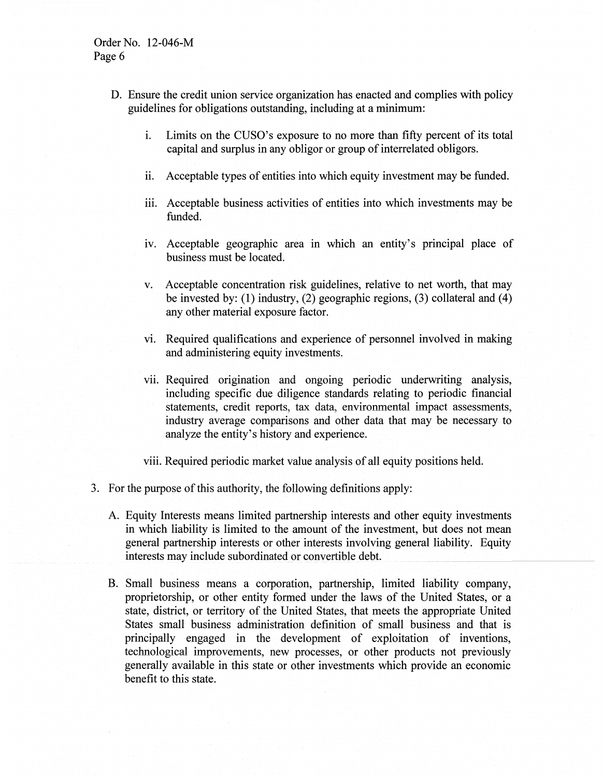- D. Ensure the credit union service organization has enacted and complies with policy guidelines for obligations outstanding, including at a minimum:
	- 1. Limits on the CUSO's exposure to no more than fifty percent of its total capital and surplus in any obligor or group of interrelated obligors.
	- i. Acceptable types of entities into which equity investment may be funded.
	- iii. Acceptable business activities of entities into which investments may be funded.
	- iv. Acceptable geographic area in which an entity's principal place of business must be located.
	- v. Acceptable concentration risk guidelines, relative to net worth, that may be invested by: (1) industry, (2) geographic regions, (3) collateral and (4) any other material exposure factor.
	- vi. Required qualifications and experience of personnel involved in making and administering equity investments.
	- vii. Required origination and ongoing periodic underwriting analysis, including specific due diligence standards relating to periodic financial statements, credit reports, tax data, environmental impact assessments, industry average comparisons and other data that may be necessary to analyze the entity's history and experience.
	- viii. Required periodic market value analysis of all equity positions held.
- 3. For the purpose of this authority, the following definitions apply:
	- A. Equity Interests means limited partnership interests and other equity investments in which liability is limited to the amount of the investment, but does not mean general partnership interests or other interests involving general liability. Equity interests may include subordinated or convertible debt.
	- B. Small business means a corporation, partnership, limited liability company, proprietorship, or other entity formed under the laws of the United States, or a state, district, or territory of the United States, that meets the appropriate United States small business administration definition of small business and that is principally engaged in the development of exploitation of inventions, technological improvements, new processes, or other products not previously generally available in this state or other investments which provide an economic benefit to this state.